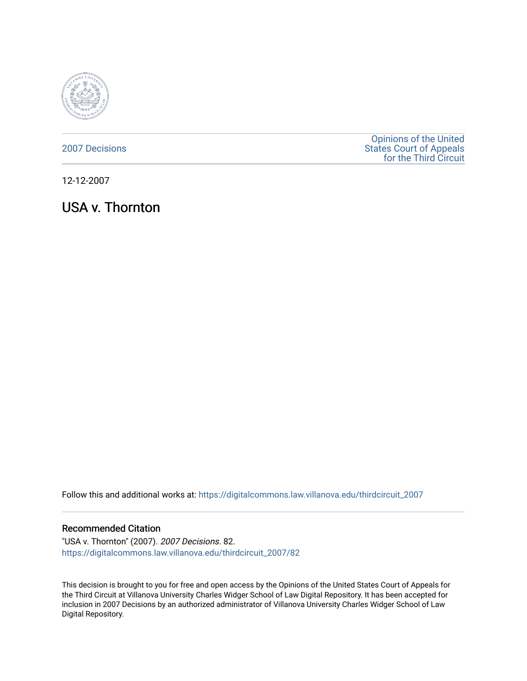

[2007 Decisions](https://digitalcommons.law.villanova.edu/thirdcircuit_2007)

[Opinions of the United](https://digitalcommons.law.villanova.edu/thirdcircuit)  [States Court of Appeals](https://digitalcommons.law.villanova.edu/thirdcircuit)  [for the Third Circuit](https://digitalcommons.law.villanova.edu/thirdcircuit) 

12-12-2007

USA v. Thornton

Follow this and additional works at: [https://digitalcommons.law.villanova.edu/thirdcircuit\\_2007](https://digitalcommons.law.villanova.edu/thirdcircuit_2007?utm_source=digitalcommons.law.villanova.edu%2Fthirdcircuit_2007%2F82&utm_medium=PDF&utm_campaign=PDFCoverPages) 

### Recommended Citation

"USA v. Thornton" (2007). 2007 Decisions. 82. [https://digitalcommons.law.villanova.edu/thirdcircuit\\_2007/82](https://digitalcommons.law.villanova.edu/thirdcircuit_2007/82?utm_source=digitalcommons.law.villanova.edu%2Fthirdcircuit_2007%2F82&utm_medium=PDF&utm_campaign=PDFCoverPages)

This decision is brought to you for free and open access by the Opinions of the United States Court of Appeals for the Third Circuit at Villanova University Charles Widger School of Law Digital Repository. It has been accepted for inclusion in 2007 Decisions by an authorized administrator of Villanova University Charles Widger School of Law Digital Repository.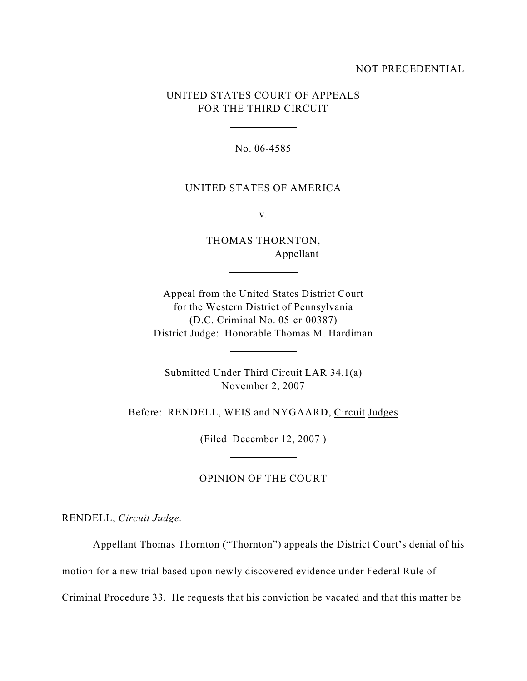### NOT PRECEDENTIAL

# UNITED STATES COURT OF APPEALS FOR THE THIRD CIRCUIT

 $\overline{a}$ 

 $\overline{a}$ 

 $\overline{a}$ 

 $\overline{a}$ 

 $\overline{a}$ 

 $\overline{a}$ 

No. 06-4585

#### UNITED STATES OF AMERICA

v.

THOMAS THORNTON, Appellant

Appeal from the United States District Court for the Western District of Pennsylvania (D.C. Criminal No. 05-cr-00387) District Judge: Honorable Thomas M. Hardiman

Submitted Under Third Circuit LAR 34.1(a) November 2, 2007

Before: RENDELL, WEIS and NYGAARD, Circuit Judges

(Filed December 12, 2007 )

# OPINION OF THE COURT

RENDELL, *Circuit Judge.* 

Appellant Thomas Thornton ("Thornton") appeals the District Court's denial of his

motion for a new trial based upon newly discovered evidence under Federal Rule of

Criminal Procedure 33. He requests that his conviction be vacated and that this matter be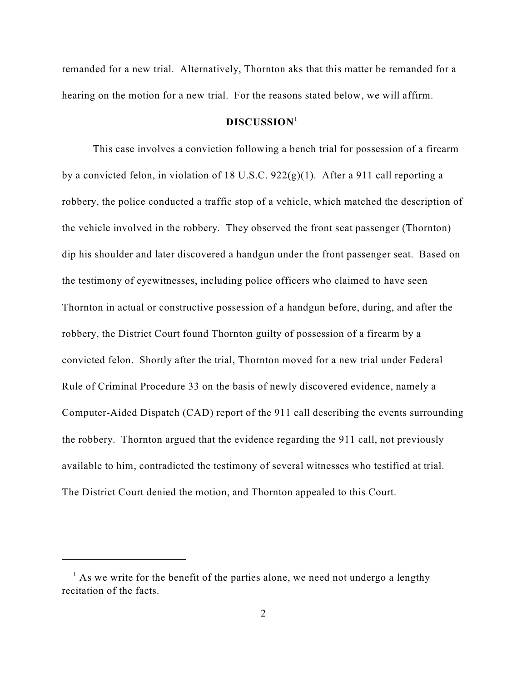remanded for a new trial. Alternatively, Thornton aks that this matter be remanded for a hearing on the motion for a new trial. For the reasons stated below, we will affirm.

## **DISCUSSION**<sup>1</sup>

This case involves a conviction following a bench trial for possession of a firearm by a convicted felon, in violation of 18 U.S.C. 922(g)(1). After a 911 call reporting a robbery, the police conducted a traffic stop of a vehicle, which matched the description of the vehicle involved in the robbery. They observed the front seat passenger (Thornton) dip his shoulder and later discovered a handgun under the front passenger seat. Based on the testimony of eyewitnesses, including police officers who claimed to have seen Thornton in actual or constructive possession of a handgun before, during, and after the robbery, the District Court found Thornton guilty of possession of a firearm by a convicted felon. Shortly after the trial, Thornton moved for a new trial under Federal Rule of Criminal Procedure 33 on the basis of newly discovered evidence, namely a Computer-Aided Dispatch (CAD) report of the 911 call describing the events surrounding the robbery. Thornton argued that the evidence regarding the 911 call, not previously available to him, contradicted the testimony of several witnesses who testified at trial. The District Court denied the motion, and Thornton appealed to this Court.

 $<sup>1</sup>$  As we write for the benefit of the parties alone, we need not undergo a lengthy</sup> recitation of the facts.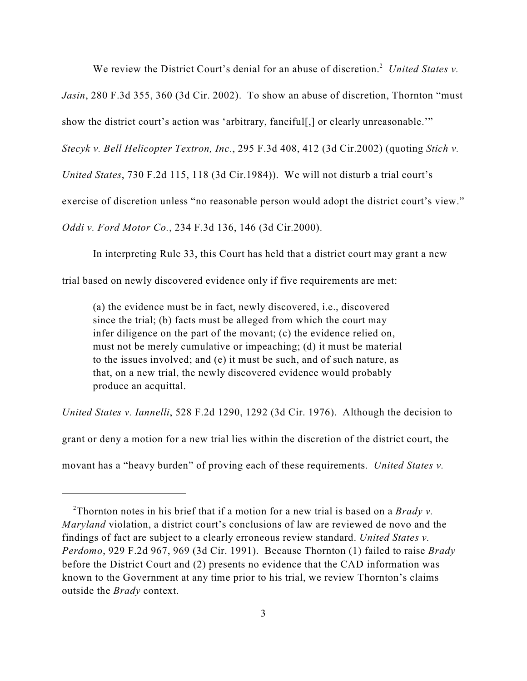We review the District Court's denial for an abuse of discretion.<sup>2</sup> United States v.

*Jasin*, 280 F.3d 355, 360 (3d Cir. 2002). To show an abuse of discretion, Thornton "must

show the district court's action was 'arbitrary, fanciful<sub>[,]</sub> or clearly unreasonable."

*Stecyk v. Bell Helicopter Textron, Inc.*, 295 F.3d 408, 412 (3d Cir.2002) (quoting *Stich v.*

*United States*, 730 F.2d 115, 118 (3d Cir.1984)). We will not disturb a trial court's

exercise of discretion unless "no reasonable person would adopt the district court's view."

*Oddi v. Ford Motor Co.*, 234 F.3d 136, 146 (3d Cir.2000).

In interpreting Rule 33, this Court has held that a district court may grant a new

trial based on newly discovered evidence only if five requirements are met:

(a) the evidence must be in fact, newly discovered, i.e., discovered since the trial; (b) facts must be alleged from which the court may infer diligence on the part of the movant; (c) the evidence relied on, must not be merely cumulative or impeaching; (d) it must be material to the issues involved; and (e) it must be such, and of such nature, as that, on a new trial, the newly discovered evidence would probably produce an acquittal.

*United States v. Iannelli*, 528 F.2d 1290, 1292 (3d Cir. 1976). Although the decision to

grant or deny a motion for a new trial lies within the discretion of the district court, the

movant has a "heavy burden" of proving each of these requirements. *United States v.*

Thornton notes in his brief that if a motion for a new trial is based on a *Brady v.* <sup>2</sup> *Maryland* violation, a district court's conclusions of law are reviewed de novo and the findings of fact are subject to a clearly erroneous review standard. *United States v. Perdomo*, 929 F.2d 967, 969 (3d Cir. 1991). Because Thornton (1) failed to raise *Brady* before the District Court and (2) presents no evidence that the CAD information was known to the Government at any time prior to his trial, we review Thornton's claims outside the *Brady* context.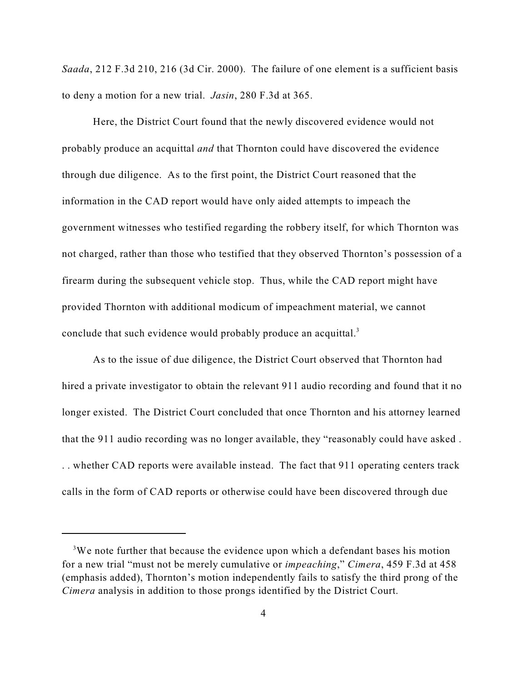*Saada*, 212 F.3d 210, 216 (3d Cir. 2000). The failure of one element is a sufficient basis to deny a motion for a new trial. *Jasin*, 280 F.3d at 365.

Here, the District Court found that the newly discovered evidence would not probably produce an acquittal *and* that Thornton could have discovered the evidence through due diligence. As to the first point, the District Court reasoned that the information in the CAD report would have only aided attempts to impeach the government witnesses who testified regarding the robbery itself, for which Thornton was not charged, rather than those who testified that they observed Thornton's possession of a firearm during the subsequent vehicle stop. Thus, while the CAD report might have provided Thornton with additional modicum of impeachment material, we cannot conclude that such evidence would probably produce an acquittal.<sup>3</sup>

As to the issue of due diligence, the District Court observed that Thornton had hired a private investigator to obtain the relevant 911 audio recording and found that it no longer existed. The District Court concluded that once Thornton and his attorney learned that the 911 audio recording was no longer available, they "reasonably could have asked . . . whether CAD reports were available instead. The fact that 911 operating centers track calls in the form of CAD reports or otherwise could have been discovered through due

<sup>&</sup>lt;sup>3</sup>We note further that because the evidence upon which a defendant bases his motion for a new trial "must not be merely cumulative or *impeaching*," *Cimera*, 459 F.3d at 458 (emphasis added), Thornton's motion independently fails to satisfy the third prong of the *Cimera* analysis in addition to those prongs identified by the District Court.